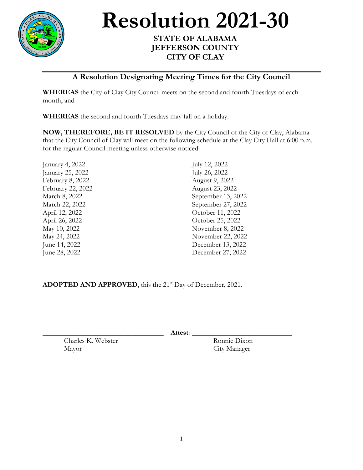

**Resolution 2021-30** 

## **STATE OF ALABAMA JEFFERSON COUNTY CITY OF CLAY**

## **A Resolution Designating Meeting Times for the City Council**

**WHEREAS** the City of Clay City Council meets on the second and fourth Tuesdays of each month, and

**WHEREAS** the second and fourth Tuesdays may fall on a holiday.

**NOW, THEREFORE, BE IT RESOLVED** by the City Council of the City of Clay, Alabama that the City Council of Clay will meet on the following schedule at the Clay City Hall at 6:00 p.m. for the regular Council meeting unless otherwise noticed:

| January 4, 2022   | July 12, 2022      |
|-------------------|--------------------|
| January 25, 2022  | July 26, 2022      |
| February 8, 2022  | August 9, 2022     |
| February 22, 2022 | August 23, 2022    |
| March 8, 2022     | September 13, 2022 |
| March 22, 2022    | September 27, 2022 |
| April 12, 2022    | October 11, 2022   |
| April 26, 2022    | October 25, 2022   |
| May 10, 2022      | November 8, 2022   |
| May 24, 2022      | November 22, 2022  |
| June 14, 2022     | December 13, 2022  |
| June 28, 2022     | December 27, 2022  |
|                   |                    |

ADOPTED AND APPROVED, this the 21<sup>st</sup> Day of December, 2021.

\_\_\_\_\_\_\_\_\_\_\_\_\_\_\_\_\_\_\_\_\_\_\_\_\_\_\_\_\_\_\_\_\_\_ **Attest**: \_\_\_\_\_\_\_\_\_\_\_\_\_\_\_\_\_\_\_\_\_\_\_\_\_\_\_\_

Charles K. Webster Ronnie Dixon Mayor City Manager